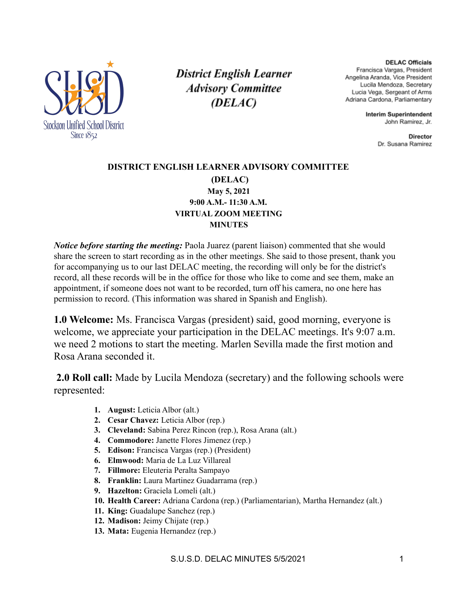

District English Learner **Advisory Committee** (DELAC)

**DELAC Officials** Francisca Vargas, President Angelina Aranda, Vice President Lucila Mendoza, Secretary Lucia Vega, Sergeant of Arms Adriana Cardona, Parliamentary

> **Interim Superintendent** John Ramirez, Jr.

> > Director Dr. Susana Ramirez

### **DISTRICT ENGLISH LEARNER ADVISORY COMMITTEE (DELAC) May 5, 2021 9:00 A.M.- 11:30 A.M. VIRTUAL ZOOM MEETING MINUTES**

*Notice before starting the meeting:* Paola Juarez (parent liaison) commented that she would share the screen to start recording as in the other meetings. She said to those present, thank you for accompanying us to our last DELAC meeting, the recording will only be for the district's record, all these records will be in the office for those who like to come and see them, make an appointment, if someone does not want to be recorded, turn off his camera, no one here has permission to record. (This information was shared in Spanish and English).

**1.0 Welcome:** Ms. Francisca Vargas (president) said, good morning, everyone is welcome, we appreciate your participation in the DELAC meetings. It's 9:07 a.m. we need 2 motions to start the meeting. Marlen Sevilla made the first motion and Rosa Arana seconded it.

**2.0 Roll call:** Made by Lucila Mendoza (secretary) and the following schools were represented:

- **1. August:** Leticia Albor (alt.)
- **2. Cesar Chavez:** Leticia Albor (rep.)
- **3. Cleveland:** Sabina Perez Rincon (rep.), Rosa Arana (alt.)
- **4. Commodore:** Janette Flores Jimenez (rep.)
- **5. Edison:** Francisca Vargas (rep.) (President)
- **6. Elmwood:** Maria de La Luz Villareal
- **7. Fillmore:** Eleuteria Peralta Sampayo
- **8. Franklin:** Laura Martinez Guadarrama (rep.)
- **9. Hazelton:** Graciela Lomeli (alt.)
- **10. Health Career:** Adriana Cardona (rep.) (Parliamentarian), Martha Hernandez (alt.)
- **11. King:** Guadalupe Sanchez (rep.)
- **12. Madison:** Jeimy Chijate (rep.)
- **13. Mata:** Eugenia Hernandez (rep.)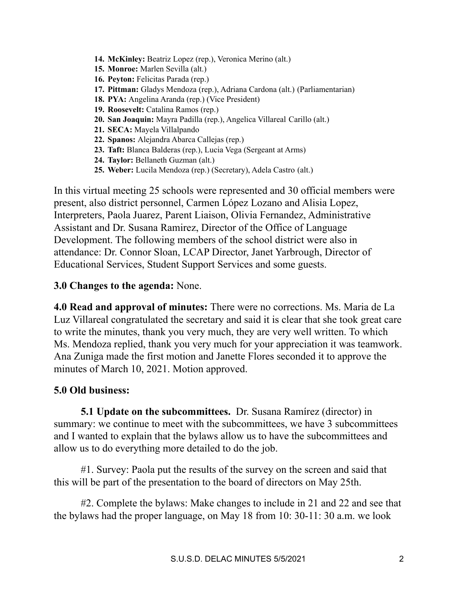- **14. McKinley:** Beatriz Lopez (rep.), Veronica Merino (alt.)
- **15. Monroe:** Marlen Sevilla (alt.)
- **16. Peyton:** Felicitas Parada (rep.)
- **17. Pittman:** Gladys Mendoza (rep.), Adriana Cardona (alt.) (Parliamentarian)
- **18. PYA:** Angelina Aranda (rep.) (Vice President)
- **19. Roosevelt:** Catalina Ramos (rep.)
- **20. San Joaquin:** Mayra Padilla (rep.), Angelica Villareal Carillo (alt.)
- **21. SECA:** Mayela Villalpando
- **22. Spanos:** Alejandra Abarca Callejas (rep.)
- **23. Taft:** Blanca Balderas (rep.), Lucia Vega (Sergeant at Arms)
- **24. Taylor:** Bellaneth Guzman (alt.)
- **25. Weber:** Lucila Mendoza (rep.) (Secretary), Adela Castro (alt.)

In this virtual meeting 25 schools were represented and 30 official members were present, also district personnel, Carmen López Lozano and Alisia Lopez, Interpreters, Paola Juarez, Parent Liaison, Olivia Fernandez, Administrative Assistant and Dr. Susana Ramirez, Director of the Office of Language Development. The following members of the school district were also in attendance: Dr. Connor Sloan, LCAP Director, Janet Yarbrough, Director of Educational Services, Student Support Services and some guests.

## **3.0 Changes to the agenda:** None.

**4.0 Read and approval of minutes:** There were no corrections. Ms. Maria de La Luz Villareal congratulated the secretary and said it is clear that she took great care to write the minutes, thank you very much, they are very well written. To which Ms. Mendoza replied, thank you very much for your appreciation it was teamwork. Ana Zuniga made the first motion and Janette Flores seconded it to approve the minutes of March 10, 2021. Motion approved.

## **5.0 Old business:**

**5.1 Update on the subcommittees.** Dr. Susana Ramírez (director) in summary: we continue to meet with the subcommittees, we have 3 subcommittees and I wanted to explain that the bylaws allow us to have the subcommittees and allow us to do everything more detailed to do the job.

#1. Survey: Paola put the results of the survey on the screen and said that this will be part of the presentation to the board of directors on May 25th.

#2. Complete the bylaws: Make changes to include in 21 and 22 and see that the bylaws had the proper language, on May 18 from 10: 30-11: 30 a.m. we look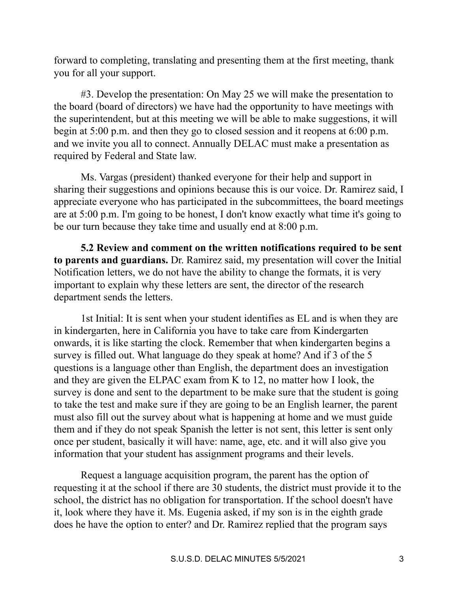forward to completing, translating and presenting them at the first meeting, thank you for all your support.

#3. Develop the presentation: On May 25 we will make the presentation to the board (board of directors) we have had the opportunity to have meetings with the superintendent, but at this meeting we will be able to make suggestions, it will begin at 5:00 p.m. and then they go to closed session and it reopens at 6:00 p.m. and we invite you all to connect. Annually DELAC must make a presentation as required by Federal and State law.

Ms. Vargas (president) thanked everyone for their help and support in sharing their suggestions and opinions because this is our voice. Dr. Ramirez said, I appreciate everyone who has participated in the subcommittees, the board meetings are at 5:00 p.m. I'm going to be honest, I don't know exactly what time it's going to be our turn because they take time and usually end at 8:00 p.m.

**5.2 Review and comment on the written notifications required to be sent to parents and guardians.** Dr. Ramirez said, my presentation will cover the Initial Notification letters, we do not have the ability to change the formats, it is very important to explain why these letters are sent, the director of the research department sends the letters.

1st Initial: It is sent when your student identifies as EL and is when they are in kindergarten, here in California you have to take care from Kindergarten onwards, it is like starting the clock. Remember that when kindergarten begins a survey is filled out. What language do they speak at home? And if 3 of the 5 questions is a language other than English, the department does an investigation and they are given the ELPAC exam from K to 12, no matter how I look, the survey is done and sent to the department to be make sure that the student is going to take the test and make sure if they are going to be an English learner, the parent must also fill out the survey about what is happening at home and we must guide them and if they do not speak Spanish the letter is not sent, this letter is sent only once per student, basically it will have: name, age, etc. and it will also give you information that your student has assignment programs and their levels.

Request a language acquisition program, the parent has the option of requesting it at the school if there are 30 students, the district must provide it to the school, the district has no obligation for transportation. If the school doesn't have it, look where they have it. Ms. Eugenia asked, if my son is in the eighth grade does he have the option to enter? and Dr. Ramirez replied that the program says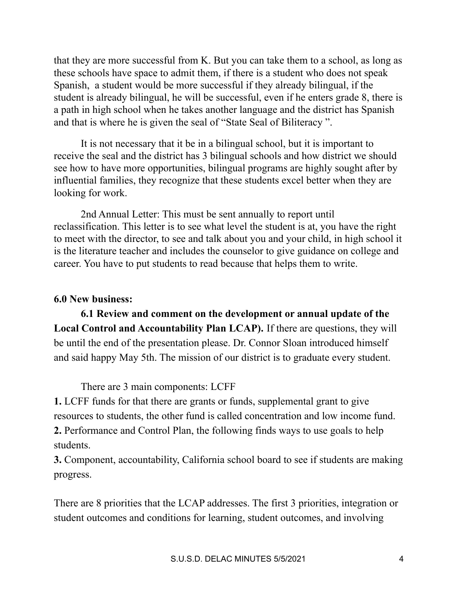that they are more successful from K. But you can take them to a school, as long as these schools have space to admit them, if there is a student who does not speak Spanish, a student would be more successful if they already bilingual, if the student is already bilingual, he will be successful, even if he enters grade 8, there is a path in high school when he takes another language and the district has Spanish and that is where he is given the seal of "State Seal of Biliteracy ".

It is not necessary that it be in a bilingual school, but it is important to receive the seal and the district has 3 bilingual schools and how district we should see how to have more opportunities, bilingual programs are highly sought after by influential families, they recognize that these students excel better when they are looking for work.

2nd Annual Letter: This must be sent annually to report until reclassification. This letter is to see what level the student is at, you have the right to meet with the director, to see and talk about you and your child, in high school it is the literature teacher and includes the counselor to give guidance on college and career. You have to put students to read because that helps them to write.

## **6.0 New business:**

**6.1 Review and comment on the development or annual update of the Local Control and Accountability Plan LCAP).** If there are questions, they will be until the end of the presentation please. Dr. Connor Sloan introduced himself and said happy May 5th. The mission of our district is to graduate every student.

There are 3 main components: LCFF

**1.** LCFF funds for that there are grants or funds, supplemental grant to give resources to students, the other fund is called concentration and low income fund. **2.** Performance and Control Plan, the following finds ways to use goals to help students.

**3.** Component, accountability, California school board to see if students are making progress.

There are 8 priorities that the LCAP addresses. The first 3 priorities, integration or student outcomes and conditions for learning, student outcomes, and involving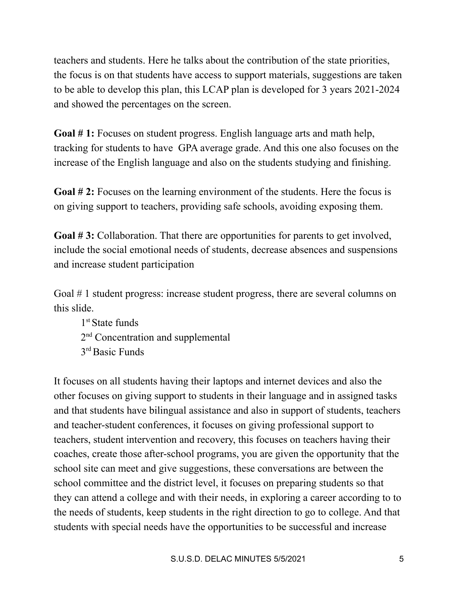teachers and students. Here he talks about the contribution of the state priorities, the focus is on that students have access to support materials, suggestions are taken to be able to develop this plan, this LCAP plan is developed for 3 years 2021-2024 and showed the percentages on the screen.

**Goal # 1:** Focuses on student progress. English language arts and math help, tracking for students to have GPA average grade. And this one also focuses on the increase of the English language and also on the students studying and finishing.

**Goal # 2:** Focuses on the learning environment of the students. Here the focus is on giving support to teachers, providing safe schools, avoiding exposing them.

**Goal # 3:** Collaboration. That there are opportunities for parents to get involved, include the social emotional needs of students, decrease absences and suspensions and increase student participation

Goal #1 student progress: increase student progress, there are several columns on this slide.

1 st State funds 2<sup>nd</sup> Concentration and supplemental 3<sup>rd</sup> Basic Funds

It focuses on all students having their laptops and internet devices and also the other focuses on giving support to students in their language and in assigned tasks and that students have bilingual assistance and also in support of students, teachers and teacher-student conferences, it focuses on giving professional support to teachers, student intervention and recovery, this focuses on teachers having their coaches, create those after-school programs, you are given the opportunity that the school site can meet and give suggestions, these conversations are between the school committee and the district level, it focuses on preparing students so that they can attend a college and with their needs, in exploring a career according to to the needs of students, keep students in the right direction to go to college. And that students with special needs have the opportunities to be successful and increase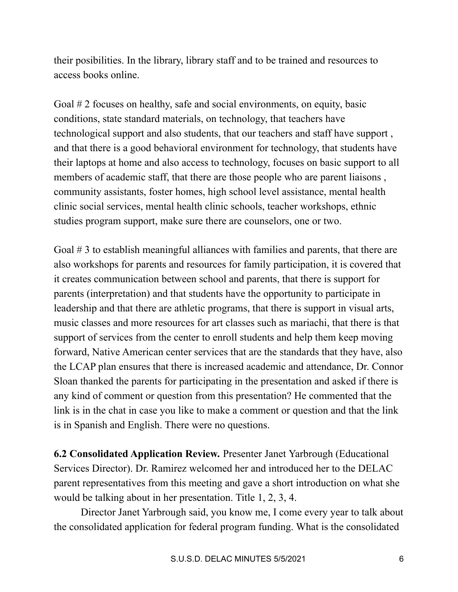their posibilities. In the library, library staff and to be trained and resources to access books online.

Goal  $# 2$  focuses on healthy, safe and social environments, on equity, basic conditions, state standard materials, on technology, that teachers have technological support and also students, that our teachers and staff have support , and that there is a good behavioral environment for technology, that students have their laptops at home and also access to technology, focuses on basic support to all members of academic staff, that there are those people who are parent liaisons, community assistants, foster homes, high school level assistance, mental health clinic social services, mental health clinic schools, teacher workshops, ethnic studies program support, make sure there are counselors, one or two.

Goal  $# 3$  to establish meaningful alliances with families and parents, that there are also workshops for parents and resources for family participation, it is covered that it creates communication between school and parents, that there is support for parents (interpretation) and that students have the opportunity to participate in leadership and that there are athletic programs, that there is support in visual arts, music classes and more resources for art classes such as mariachi, that there is that support of services from the center to enroll students and help them keep moving forward, Native American center services that are the standards that they have, also the LCAP plan ensures that there is increased academic and attendance, Dr. Connor Sloan thanked the parents for participating in the presentation and asked if there is any kind of comment or question from this presentation? He commented that the link is in the chat in case you like to make a comment or question and that the link is in Spanish and English. There were no questions.

**6.2 Consolidated Application Review.** Presenter Janet Yarbrough (Educational Services Director). Dr. Ramirez welcomed her and introduced her to the DELAC parent representatives from this meeting and gave a short introduction on what she would be talking about in her presentation. Title 1, 2, 3, 4.

Director Janet Yarbrough said, you know me, I come every year to talk about the consolidated application for federal program funding. What is the consolidated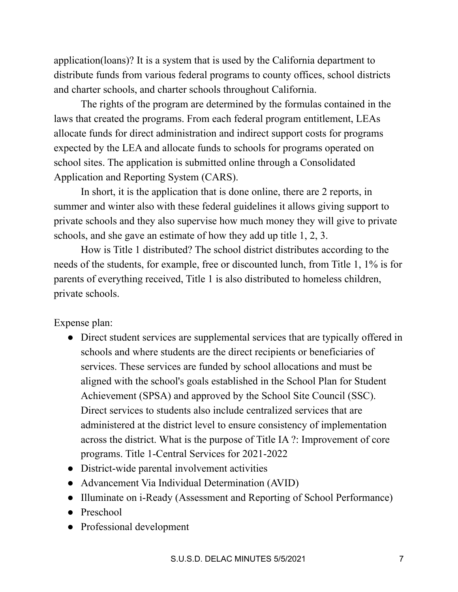application(loans)? It is a system that is used by the California department to distribute funds from various federal programs to county offices, school districts and charter schools, and charter schools throughout California.

The rights of the program are determined by the formulas contained in the laws that created the programs. From each federal program entitlement, LEAs allocate funds for direct administration and indirect support costs for programs expected by the LEA and allocate funds to schools for programs operated on school sites. The application is submitted online through a Consolidated Application and Reporting System (CARS).

In short, it is the application that is done online, there are 2 reports, in summer and winter also with these federal guidelines it allows giving support to private schools and they also supervise how much money they will give to private schools, and she gave an estimate of how they add up title 1, 2, 3.

How is Title 1 distributed? The school district distributes according to the needs of the students, for example, free or discounted lunch, from Title 1, 1% is for parents of everything received, Title 1 is also distributed to homeless children, private schools.

Expense plan:

- Direct student services are supplemental services that are typically offered in schools and where students are the direct recipients or beneficiaries of services. These services are funded by school allocations and must be aligned with the school's goals established in the School Plan for Student Achievement (SPSA) and approved by the School Site Council (SSC). Direct services to students also include centralized services that are administered at the district level to ensure consistency of implementation across the district. What is the purpose of Title IA ?: Improvement of core programs. Title 1-Central Services for 2021-2022
- District-wide parental involvement activities
- Advancement Via Individual Determination (AVID)
- Illuminate on i-Ready (Assessment and Reporting of School Performance)
- Preschool
- Professional development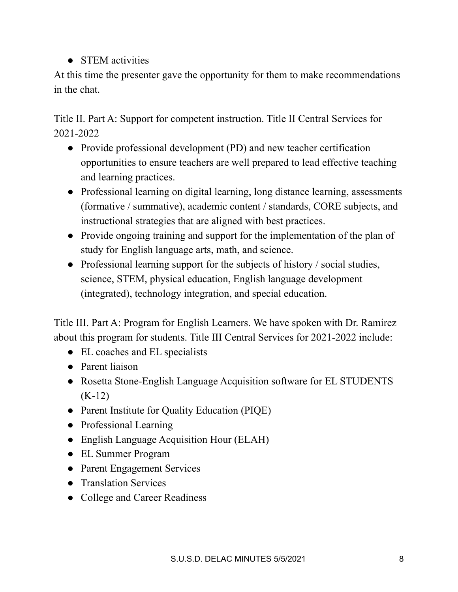# • STEM activities

At this time the presenter gave the opportunity for them to make recommendations in the chat.

Title II. Part A: Support for competent instruction. Title II Central Services for 2021-2022

- Provide professional development (PD) and new teacher certification opportunities to ensure teachers are well prepared to lead effective teaching and learning practices.
- Professional learning on digital learning, long distance learning, assessments (formative / summative), academic content / standards, CORE subjects, and instructional strategies that are aligned with best practices.
- Provide ongoing training and support for the implementation of the plan of study for English language arts, math, and science.
- Professional learning support for the subjects of history / social studies, science, STEM, physical education, English language development (integrated), technology integration, and special education.

Title III. Part A: Program for English Learners. We have spoken with Dr. Ramirez about this program for students. Title III Central Services for 2021-2022 include:

- EL coaches and EL specialists
- Parent liaison
- Rosetta Stone-English Language Acquisition software for EL STUDENTS (K-12)
- Parent Institute for Quality Education (PIQE)
- Professional Learning
- English Language Acquisition Hour (ELAH)
- EL Summer Program
- Parent Engagement Services
- Translation Services
- College and Career Readiness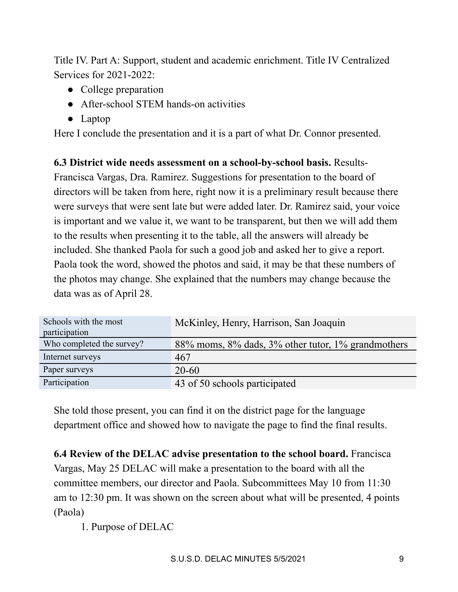Title IV. Part A: Support, student and academic enrichment. Title IV Centralized Services for 2021-2022:

- College preparation
- After-school STEM hands-on activities
- Laptop

Here I conclude the presentation and it is a part of what Dr. Connor presented.

**6.3 District wide needs assessment on a school-by-school basis.** Results-Francisca Vargas, Dra. Ramirez. Suggestions for presentation to the board of directors will be taken from here, right now it is a preliminary result because there were surveys that were sent late but were added later. Dr. Ramirez said, your voice is important and we value it, we want to be transparent, but then we will add them to the results when presenting it to the table, all the answers will already be included. She thanked Paola for such a good job and asked her to give a report. Paola took the word, showed the photos and said, it may be that these numbers of the photos may change. She explained that the numbers may change because the data was as of April 28.

| Schools with the most<br>participation | McKinley, Henry, Harrison, San Joaquin             |
|----------------------------------------|----------------------------------------------------|
| Who completed the survey?              | 88% moms, 8% dads, 3% other tutor, 1% grandmothers |
| Internet surveys                       | 467                                                |
| Paper surveys                          | $20 - 60$                                          |
| Participation                          | 43 of 50 schools participated                      |

She told those present, you can find it on the district page for the language department office and showed how to navigate the page to find the final results.

**6.4 Review of the DELAC advise presentation to the school board.** Francisca Vargas, May 25 DELAC will make a presentation to the board with all the committee members, our director and Paola. Subcommittees May 10 from 11:30 am to 12:30 pm. It was shown on the screen about what will be presented, 4 points (Paola)

1. Purpose of DELAC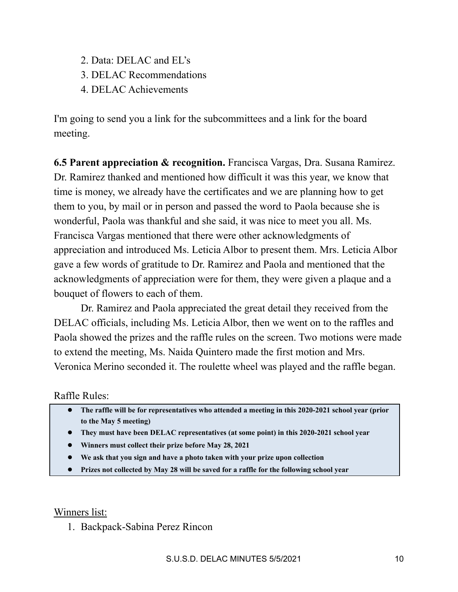2. Data: DELAC and EL's 3. DELAC Recommendations 4. DELAC Achievements

I'm going to send you a link for the subcommittees and a link for the board meeting.

**6.5 Parent appreciation & recognition.** Francisca Vargas, Dra. Susana Ramirez. Dr. Ramirez thanked and mentioned how difficult it was this year, we know that time is money, we already have the certificates and we are planning how to get them to you, by mail or in person and passed the word to Paola because she is wonderful, Paola was thankful and she said, it was nice to meet you all. Ms. Francisca Vargas mentioned that there were other acknowledgments of appreciation and introduced Ms. Leticia Albor to present them. Mrs. Leticia Albor gave a few words of gratitude to Dr. Ramirez and Paola and mentioned that the acknowledgments of appreciation were for them, they were given a plaque and a bouquet of flowers to each of them.

Dr. Ramirez and Paola appreciated the great detail they received from the DELAC officials, including Ms. Leticia Albor, then we went on to the raffles and Paola showed the prizes and the raffle rules on the screen. Two motions were made to extend the meeting, Ms. Naida Quintero made the first motion and Mrs. Veronica Merino seconded it. The roulette wheel was played and the raffle began.

Raffle Rules:

- **● The raffle will be for representatives who attended a meeting in this 2020-2021 school year (prior to the May 5 meeting)**
- **● They must have been DELAC representatives (at some point) in this 2020-2021 school year**
- **● Winners must collect their prize before May 28, 2021**
- **● We ask that you sign and have a photo taken with your prize upon collection**
- **● Prizes not collected by May 28 will be saved for a raffle for the following school year**

Winners list:

1. Backpack-Sabina Perez Rincon